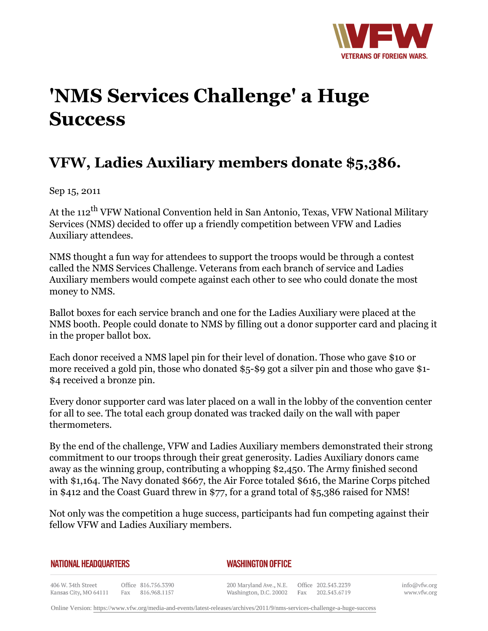

## **'NMS Services Challenge' a Huge Success**

## **VFW, Ladies Auxiliary members donate \$5,386.**

Sep 15, 2011

At the 112<sup>th</sup> VFW National Convention held in San Antonio, Texas, VFW National Military Services (NMS) decided to offer up a friendly competition between VFW and Ladies Auxiliary attendees.

NMS thought a fun way for attendees to support the troops would be through a contest called the NMS Services Challenge. Veterans from each branch of service and Ladies Auxiliary members would compete against each other to see who could donate the most money to NMS.

Ballot boxes for each service branch and one for the Ladies Auxiliary were placed at the NMS booth. People could donate to NMS by filling out a donor supporter card and placing it in the proper ballot box.

Each donor received a NMS lapel pin for their level of donation. Those who gave \$10 or more received a gold pin, those who donated \$5-\$9 got a silver pin and those who gave \$1- \$4 received a bronze pin.

Every donor supporter card was later placed on a wall in the lobby of the convention center for all to see. The total each group donated was tracked daily on the wall with paper thermometers.

By the end of the challenge, VFW and Ladies Auxiliary members demonstrated their strong commitment to our troops through their great generosity. Ladies Auxiliary donors came away as the winning group, contributing a whopping \$2,450. The Army finished second with \$1,164. The Navy donated \$667, the Air Force totaled \$616, the Marine Corps pitched in \$412 and the Coast Guard threw in \$77, for a grand total of \$5,386 raised for NMS!

Not only was the competition a huge success, participants had fun competing against their fellow VFW and Ladies Auxiliary members.

| NATIONAL HEADQUARTERS |  |
|-----------------------|--|
|-----------------------|--|

## *WASHINGTON OFFICE*

406 W. 34th Street Office 816.756.3390 Fax 816.968.1157 Kansas City, MO 64111

200 Maryland Ave., N.E. Washington, D.C. 20002

Office 202.543.2239 Fax 202.543.6719 info@vfw.org www.vfw.org

Online Version:<https://www.vfw.org/media-and-events/latest-releases/archives/2011/9/nms-services-challenge-a-huge-success>